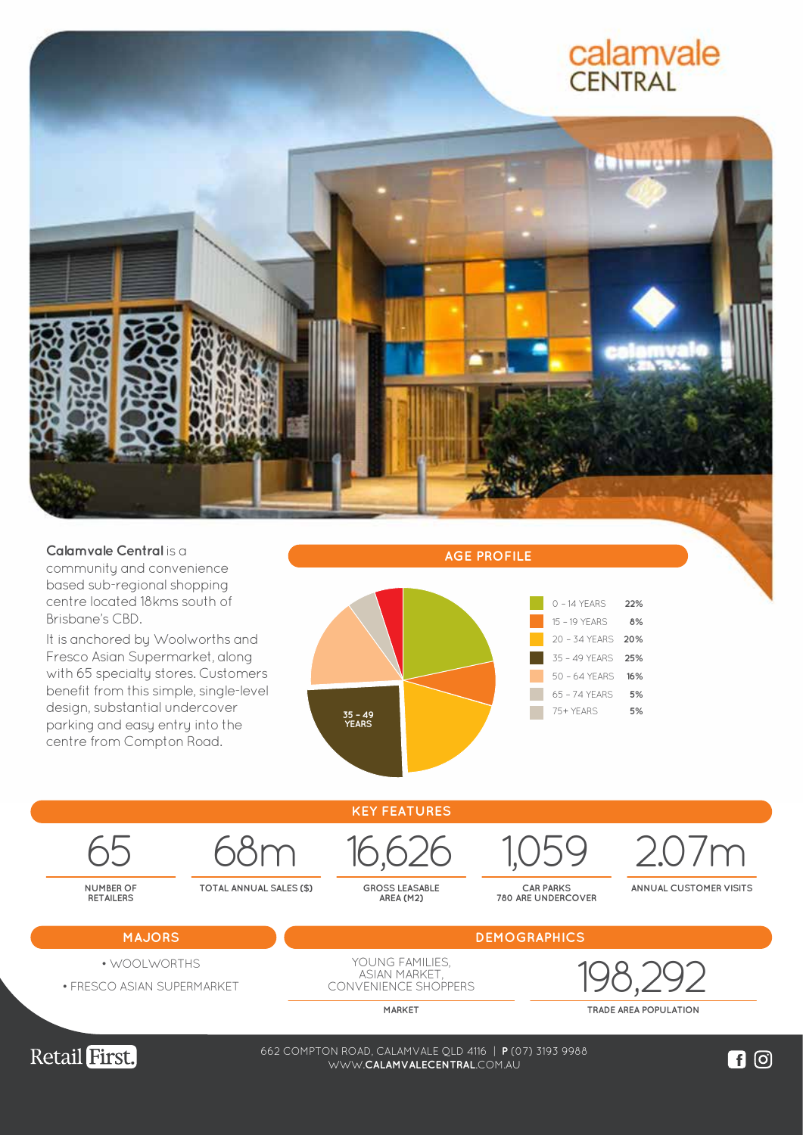





Retail First.

38-74 WEMBLEY ROAD, LOGAN CENTRAL QLD 4114 | **P** (07) 3208 0988 662 COMPTON ROAD, CALAMVALE QLD 4116 | **P** (07) 3193 9988 WWW.**LOGANCENTRALPLAZA**.COM.AU WWW.**CALAMVALECENTRAL**.COM.AU

 $\blacksquare$  이